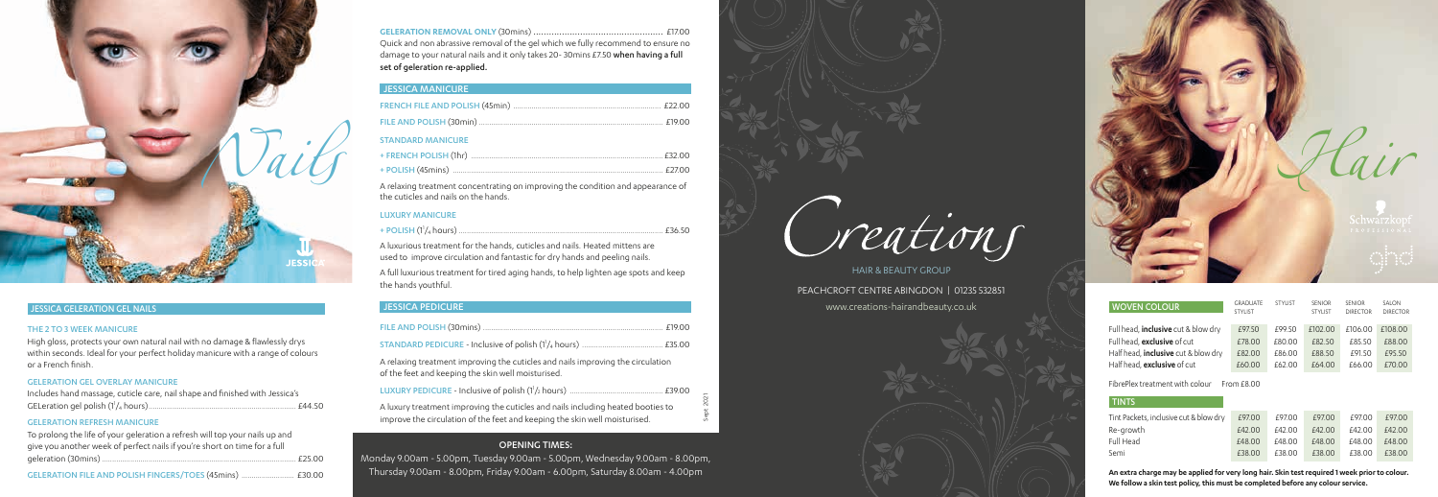

| <b>WOVEN COLOUR</b>                                                       | <b>GRADUATE</b><br><b>STYLIST</b> | <b>STYLIST</b>   | <b>SENIOR</b><br><b>STYLIST</b> | <b>SENIOR</b><br><b>DIRECTOR</b> | SAI ON<br><b>DIRECTOR</b> |  |  |  |
|---------------------------------------------------------------------------|-----------------------------------|------------------|---------------------------------|----------------------------------|---------------------------|--|--|--|
| Full head, <b>inclusive</b> cut & blow dry                                | £97.50                            | £99.50           | £102.00                         | £106.00                          | £108.00                   |  |  |  |
| Full head, exclusive of cut<br>Half head, <b>inclusive</b> cut & blow dry | £78.00<br>£82.00                  | £80.00<br>£86.00 | £82.50<br>£88.50                | £85.50<br>£91.50                 | £88.00<br>£95.50          |  |  |  |
| Half head. <b>exclusive</b> of cut                                        | £60.00                            | £62.00           | £64.00                          | £66.00                           | £70.00                    |  |  |  |
| FibrePlex treatment with colour<br>From f800                              |                                   |                  |                                 |                                  |                           |  |  |  |
| <b>TINTS</b>                                                              |                                   |                  |                                 |                                  |                           |  |  |  |
| Tint Packets, inclusive cut & blow dry                                    | £97.00                            | £97.00           | £97.00                          | £97.00                           | £97.00                    |  |  |  |
| Re-growth                                                                 | £42.00                            | £42.00           | £42.00                          | £42.00                           | £42.00                    |  |  |  |
| Full Head                                                                 | £48.00                            | £48.00           | £48.00                          | £48.00                           | £48.00                    |  |  |  |
| Semi                                                                      | £38.00                            | £38.00           | £38.00                          | £38.00                           | £38.00                    |  |  |  |

HAIR & BEAUTY GROUP PEACHCROFT CENTRE ABINGDON | 01235 532851 www.creations-hairandbeauty.co.uk

#### OPENING TIMES:

Monday 9.00am - 5.00pm, Tuesday 9.00am - 5.00pm, Wednesday 9.00am - 8.00pm, Thursday 9.00am - 8.00pm, Friday 9.00am - 6.00pm, Saturday 8.00am - 4.00pm



#### JESSICA GELERATION GEL NAILS

#### THE 2 TO 3 WEEK MANICURE

High gloss, protects your own natural nail with no damage & flawlessly drys within seconds. Ideal for your perfect holiday manicure with a range of colours or a French finish.

#### GELERATION GEL OVERLAY MANICURE

| Includes hand massage, cuticle care, nail shape and finished with Jessica's |  |
|-----------------------------------------------------------------------------|--|
| . £44.50                                                                    |  |

#### GELERATION REFRESH MANICURE

| To prolong the life of your geleration a refresh will top your nails up and |            |
|-----------------------------------------------------------------------------|------------|
| give you another week of perfect nails if you're short on time for a full   |            |
|                                                                             | $\_f25.00$ |
|                                                                             |            |

| GELERATION FILE AND POLISH FINGERS/TOES (45mins)  £30.00 |  |  |
|----------------------------------------------------------|--|--|
|----------------------------------------------------------|--|--|



Sept 2021

**GELERATION REMOVAL ONLY** (30mins) .................................................. £17.00 Quick and non abrassive removal of the gel which we fully recommend to ensure no damage to your natural nails and it only takes 20-30mins £7.50 when having a full set of geleration re-applied.

#### JESSICA MANICURE

| <b>STANDARD MANICURE</b> |  |
|--------------------------|--|
|                          |  |
|                          |  |
|                          |  |

A relaxing treatment concentrating on improving the condition and appearance of the cuticles and nails on the hands.

#### LUXURY MANICURE

|--|--|--|--|--|

A luxurious treatment for the hands, cuticles and nails. Heated mittens are used to improve circulation and fantastic for dry hands and peeling nails.

A full luxurious treatment for tired aging hands, to help lighten age spots and keep the hands youthful.

#### JESSICA PEDICURE

A relaxing treatment improving the cuticles and nails improving the circulation of the feet and keeping the skin well moisturised.

| A luxury treatment improving the cuticles and nails including heated booties to<br>improve the circulation of the feet and keeping the skin well moisturised. |  |
|---------------------------------------------------------------------------------------------------------------------------------------------------------------|--|

**An extra charge may be applied for very long hair. Skin test required 1 week prior to colour. We follow a skin test policy, this must be completed before any colour service.**